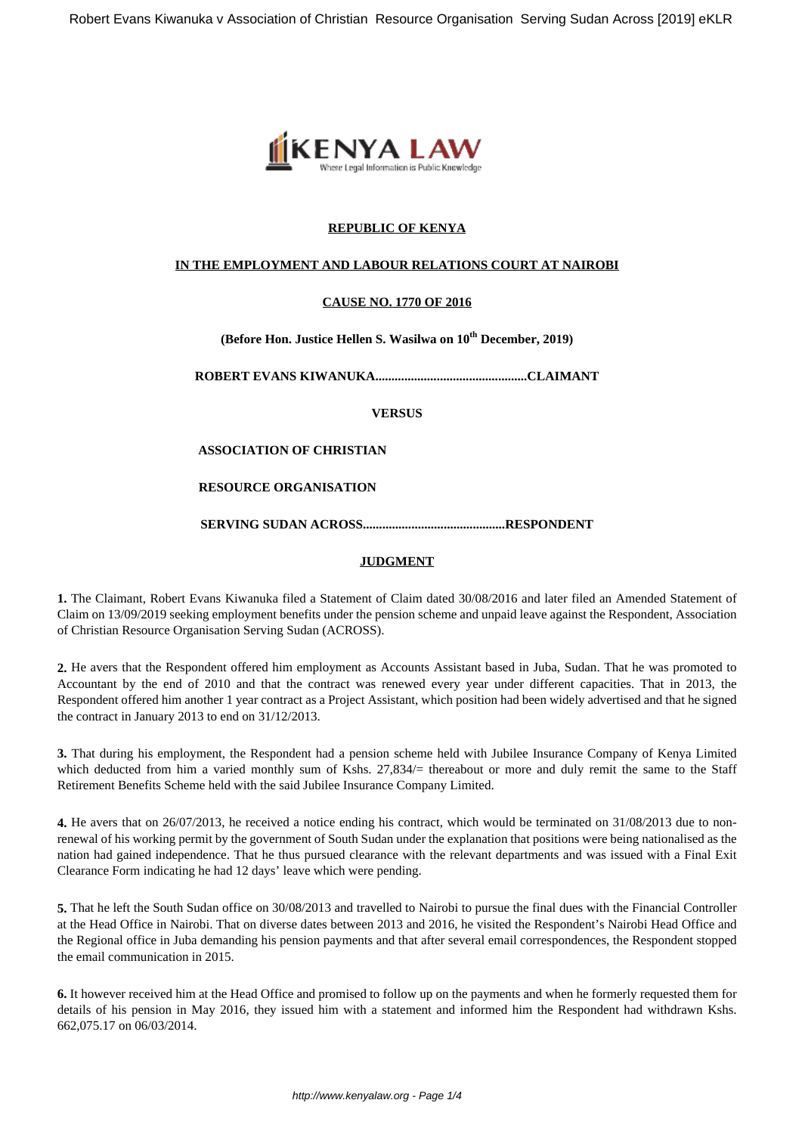

# **REPUBLIC OF KENYA**

## **IN THE EMPLOYMENT AND LABOUR RELATIONS COURT AT NAIROBI**

# **CAUSE NO. 1770 OF 2016**

**(Before Hon. Justice Hellen S. Wasilwa on 10th December, 2019)**

**ROBERT EVANS KIWANUKA...............................................CLAIMANT**

**VERSUS**

## **ASSOCIATION OF CHRISTIAN**

## **RESOURCE ORGANISATION**

**SERVING SUDAN ACROSS............................................RESPONDENT**

## **JUDGMENT**

**1.** The Claimant, Robert Evans Kiwanuka filed a Statement of Claim dated 30/08/2016 and later filed an Amended Statement of Claim on 13/09/2019 seeking employment benefits under the pension scheme and unpaid leave against the Respondent, Association of Christian Resource Organisation Serving Sudan (ACROSS).

**2.** He avers that the Respondent offered him employment as Accounts Assistant based in Juba, Sudan. That he was promoted to Accountant by the end of 2010 and that the contract was renewed every year under different capacities. That in 2013, the Respondent offered him another 1 year contract as a Project Assistant, which position had been widely advertised and that he signed the contract in January 2013 to end on 31/12/2013.

**3.** That during his employment, the Respondent had a pension scheme held with Jubilee Insurance Company of Kenya Limited which deducted from him a varied monthly sum of Kshs. 27,834/= thereabout or more and duly remit the same to the Staff Retirement Benefits Scheme held with the said Jubilee Insurance Company Limited.

**4.** He avers that on 26/07/2013, he received a notice ending his contract, which would be terminated on 31/08/2013 due to nonrenewal of his working permit by the government of South Sudan under the explanation that positions were being nationalised as the nation had gained independence. That he thus pursued clearance with the relevant departments and was issued with a Final Exit Clearance Form indicating he had 12 days' leave which were pending.

**5.** That he left the South Sudan office on 30/08/2013 and travelled to Nairobi to pursue the final dues with the Financial Controller at the Head Office in Nairobi. That on diverse dates between 2013 and 2016, he visited the Respondent's Nairobi Head Office and the Regional office in Juba demanding his pension payments and that after several email correspondences, the Respondent stopped the email communication in 2015.

**6.** It however received him at the Head Office and promised to follow up on the payments and when he formerly requested them for details of his pension in May 2016, they issued him with a statement and informed him the Respondent had withdrawn Kshs. 662,075.17 on 06/03/2014.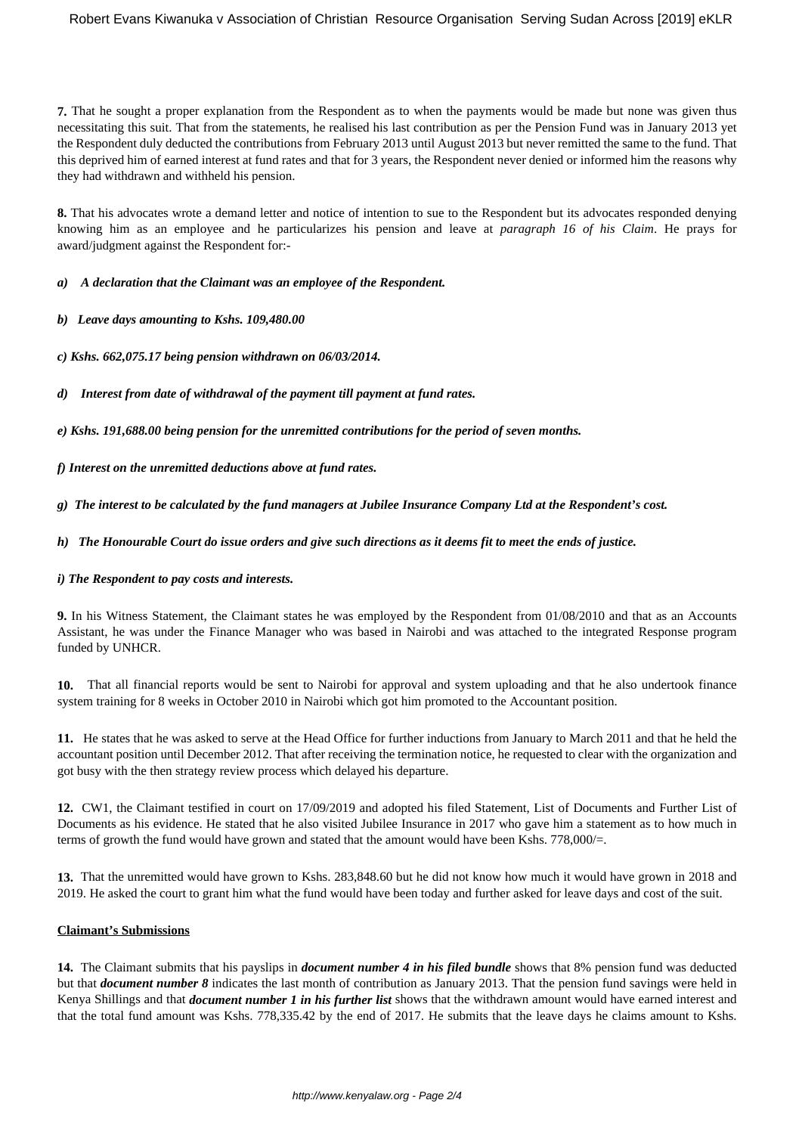**7.** That he sought a proper explanation from the Respondent as to when the payments would be made but none was given thus necessitating this suit. That from the statements, he realised his last contribution as per the Pension Fund was in January 2013 yet the Respondent duly deducted the contributions from February 2013 until August 2013 but never remitted the same to the fund. That this deprived him of earned interest at fund rates and that for 3 years, the Respondent never denied or informed him the reasons why they had withdrawn and withheld his pension.

**8.** That his advocates wrote a demand letter and notice of intention to sue to the Respondent but its advocates responded denying knowing him as an employee and he particularizes his pension and leave at *paragraph 16 of his Claim*. He prays for award/judgment against the Respondent for:-

*a) A declaration that the Claimant was an employee of the Respondent.*

*b) Leave days amounting to Kshs. 109,480.00*

*c) Kshs. 662,075.17 being pension withdrawn on 06/03/2014.*

*d) Interest from date of withdrawal of the payment till payment at fund rates.*

*e) Kshs. 191,688.00 being pension for the unremitted contributions for the period of seven months.*

*f) Interest on the unremitted deductions above at fund rates.*

*g) The interest to be calculated by the fund managers at Jubilee Insurance Company Ltd at the Respondent's cost.*

*h) The Honourable Court do issue orders and give such directions as it deems fit to meet the ends of justice.*

### *i) The Respondent to pay costs and interests.*

**9.** In his Witness Statement, the Claimant states he was employed by the Respondent from 01/08/2010 and that as an Accounts Assistant, he was under the Finance Manager who was based in Nairobi and was attached to the integrated Response program funded by UNHCR.

**10.** That all financial reports would be sent to Nairobi for approval and system uploading and that he also undertook finance system training for 8 weeks in October 2010 in Nairobi which got him promoted to the Accountant position.

**11.** He states that he was asked to serve at the Head Office for further inductions from January to March 2011 and that he held the accountant position until December 2012. That after receiving the termination notice, he requested to clear with the organization and got busy with the then strategy review process which delayed his departure.

**12.** CW1, the Claimant testified in court on 17/09/2019 and adopted his filed Statement, List of Documents and Further List of Documents as his evidence. He stated that he also visited Jubilee Insurance in 2017 who gave him a statement as to how much in terms of growth the fund would have grown and stated that the amount would have been Kshs. 778,000/=.

**13.** That the unremitted would have grown to Kshs. 283,848.60 but he did not know how much it would have grown in 2018 and 2019. He asked the court to grant him what the fund would have been today and further asked for leave days and cost of the suit.

### **Claimant's Submissions**

**14.** The Claimant submits that his payslips in *document number 4 in his filed bundle* shows that 8% pension fund was deducted but that *document number 8* indicates the last month of contribution as January 2013. That the pension fund savings were held in Kenya Shillings and that *document number 1 in his further list* shows that the withdrawn amount would have earned interest and that the total fund amount was Kshs. 778,335.42 by the end of 2017. He submits that the leave days he claims amount to Kshs.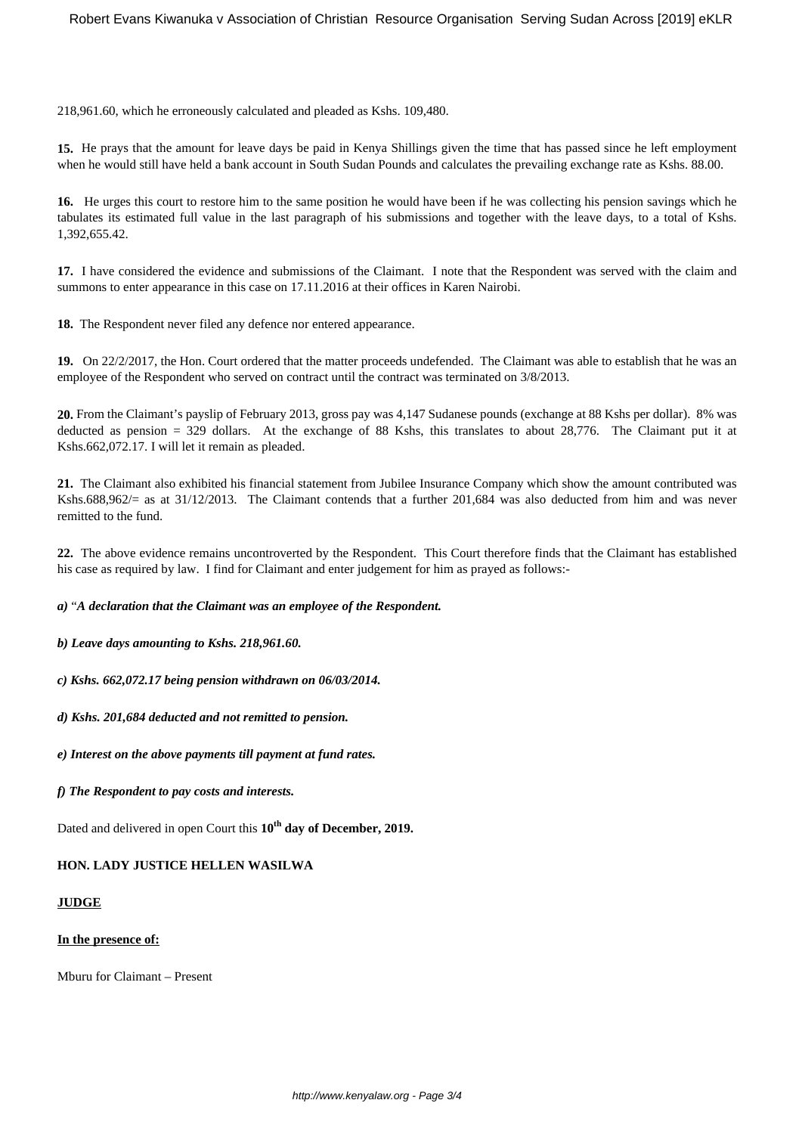218,961.60, which he erroneously calculated and pleaded as Kshs. 109,480.

**15.** He prays that the amount for leave days be paid in Kenya Shillings given the time that has passed since he left employment when he would still have held a bank account in South Sudan Pounds and calculates the prevailing exchange rate as Kshs. 88.00.

**16.** He urges this court to restore him to the same position he would have been if he was collecting his pension savings which he tabulates its estimated full value in the last paragraph of his submissions and together with the leave days, to a total of Kshs. 1,392,655.42.

**17.** I have considered the evidence and submissions of the Claimant. I note that the Respondent was served with the claim and summons to enter appearance in this case on 17.11.2016 at their offices in Karen Nairobi.

**18.** The Respondent never filed any defence nor entered appearance.

**19.** On 22/2/2017, the Hon. Court ordered that the matter proceeds undefended. The Claimant was able to establish that he was an employee of the Respondent who served on contract until the contract was terminated on 3/8/2013.

**20.** From the Claimant's payslip of February 2013, gross pay was 4,147 Sudanese pounds (exchange at 88 Kshs per dollar). 8% was deducted as pension = 329 dollars. At the exchange of 88 Kshs, this translates to about 28,776. The Claimant put it at Kshs.662,072.17. I will let it remain as pleaded.

**21.** The Claimant also exhibited his financial statement from Jubilee Insurance Company which show the amount contributed was Kshs.688,962/= as at 31/12/2013. The Claimant contends that a further 201,684 was also deducted from him and was never remitted to the fund.

**22.** The above evidence remains uncontroverted by the Respondent. This Court therefore finds that the Claimant has established his case as required by law. I find for Claimant and enter judgement for him as prayed as follows:-

*a)* "*A declaration that the Claimant was an employee of the Respondent.*

*b) Leave days amounting to Kshs. 218,961.60.*

*c) Kshs. 662,072.17 being pension withdrawn on 06/03/2014.*

*d) Kshs. 201,684 deducted and not remitted to pension.*

*e) Interest on the above payments till payment at fund rates.*

*f) The Respondent to pay costs and interests.*

Dated and delivered in open Court this **10th day of December, 2019.**

**HON. LADY JUSTICE HELLEN WASILWA**

### **JUDGE**

### **In the presence of:**

Mburu for Claimant – Present